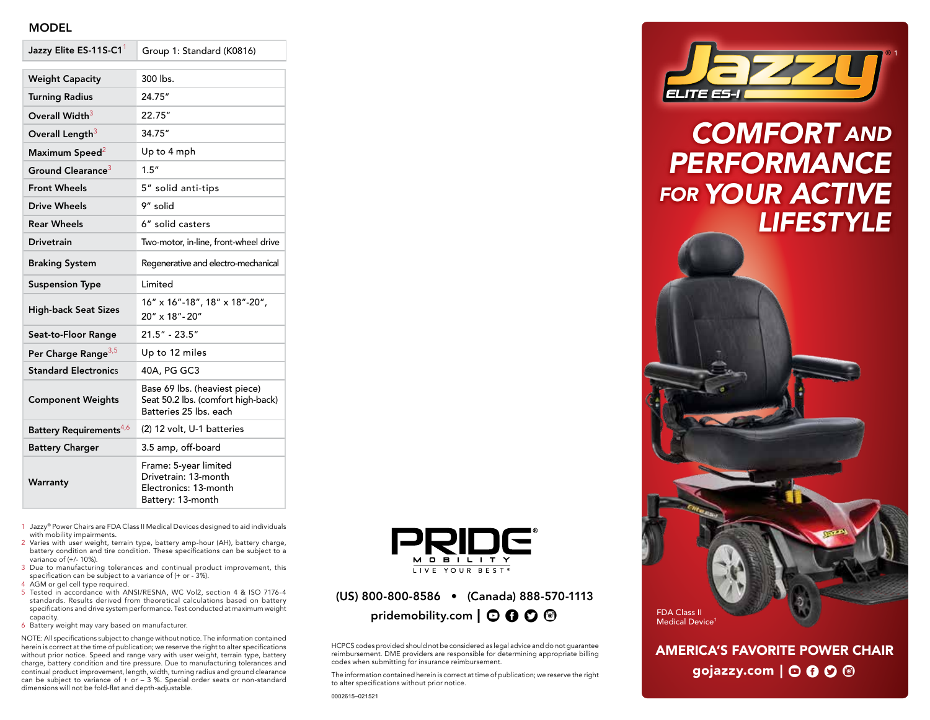## MODEL

| Jazzy Elite ES-11S-C1               | Group 1: Standard (K0816)                                                                     |
|-------------------------------------|-----------------------------------------------------------------------------------------------|
| <b>Weight Capacity</b>              | 300 lbs.                                                                                      |
|                                     |                                                                                               |
| <b>Turning Radius</b>               | 24.75"                                                                                        |
| Overall Width <sup>3</sup>          | 22.75"                                                                                        |
| Overall Length <sup>3</sup>         | 34.75"                                                                                        |
| Maximum Speed <sup>2</sup>          | Up to 4 mph                                                                                   |
| Ground Clearance <sup>3</sup>       | 1.5''                                                                                         |
| <b>Front Wheels</b>                 | 5" solid anti-tips                                                                            |
| <b>Drive Wheels</b>                 | 9" solid                                                                                      |
| <b>Rear Wheels</b>                  | 6" solid casters                                                                              |
| <b>Drivetrain</b>                   | Two-motor, in-line, front-wheel drive                                                         |
| <b>Braking System</b>               | Regenerative and electro-mechanical                                                           |
|                                     |                                                                                               |
| <b>Suspension Type</b>              | Limited                                                                                       |
| <b>High-back Seat Sizes</b>         | 16" x 16"-18", 18" x 18"-20",<br>20" x 18"-20"                                                |
| Seat-to-Floor Range                 | $21.5" - 23.5"$                                                                               |
| Per Charge Range <sup>3,5</sup>     | Up to 12 miles                                                                                |
| <b>Standard Electronics</b>         | 40A, PG GC3                                                                                   |
| <b>Component Weights</b>            | Base 69 lbs. (heaviest piece)<br>Seat 50.2 lbs. (comfort high-back)<br>Batteries 25 lbs. each |
| Battery Requirements <sup>4,6</sup> | (2) 12 volt, U-1 batteries                                                                    |
| <b>Battery Charger</b>              | 3.5 amp, off-board                                                                            |

- 1 Jazzy® Power Chairs are FDA Class II Medical Devices designed to aid individuals with mobility impairments.
- 2 Varies with user weight, terrain type, battery amp-hour (AH), battery charge, battery condition and tire condition. These specifications can be subject to a variance of (+/- 10%).
- 3 Due to manufacturing tolerances and continual product improvement, this specification can be subject to a variance of (+ or - 3%).
- 4 AGM or gel cell type required.
- 5 Tested in accordance with ANSI/RESNA, WC Vol2, section 4 & ISO 7176-4 standards. Results derived from theoretical calculations based on battery specifications and drive system performance. Test conducted at maximum weight capacity.
- 6 Battery weight may vary based on manufacturer.

NOTE: All specifications subject to change without notice. The information contained herein is correct at the time of publication; we reserve the right to alter specifications without prior notice. Speed and range vary with user weight, terrain type, battery charge, battery condition and tire pressure. Due to manufacturing tolerances and continual product improvement, length, width, turning radius and ground clearance can be subject to variance of + or – 3 %. Special order seats or non-standard dimensions will not be fold-flat and depth-adjustable.



## (US) 800-800-8586 • (Canada) 888-570-1113 pridemobility.com  $\mathbf{O} \mathbf{O} \mathbf{O} \mathbf{O}$

HCPCS codes provided should not be considered as legal advice and do not guarantee reimbursement. DME providers are responsible for determining appropriate billing codes when submitting for insurance reimbursement.

The information contained herein is correct at time of publication; we reserve the right to alter specifications without prior notice.



# *COMFORT AND PERFORMANCE FOR YOUR ACTIVE LIFESTYLE*



AMERICA'S FAVORITE POWER CHAIR gojazzy.com  $\vert \odot \mathbf{0} \odot \mathbf{\odot}$